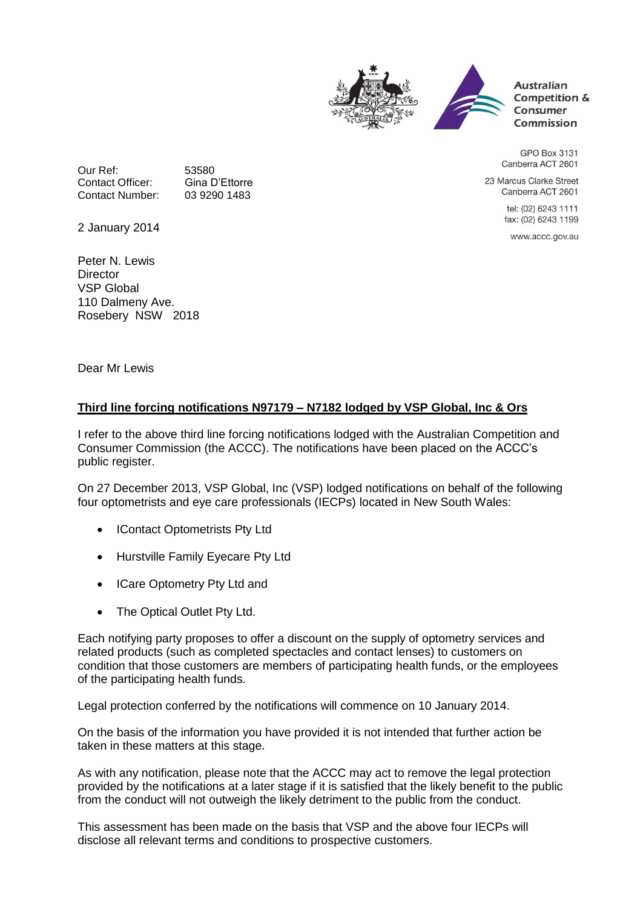

**Australian** Competition & Consumer Commission

GPO Box 3131 Canberra ACT 2601

23 Marcus Clarke Street Canberra ACT 2601

> tel: (02) 6243 1111 fax: (02) 6243 1199

www.accc.gov.au

Our Ref: 53580<br>Contact Officer: Gina D'Ettorre Contact Officer: Gina D'Ettorre<br>Contact Number: 03 9290 1483 Contact Number:

2 January 2014

Peter N. Lewis **Director** VSP Global 110 Dalmeny Ave. Rosebery NSW 2018

Dear Mr Lewis

## **Third line forcing notifications N97179 – N7182 lodged by VSP Global, Inc & Ors**

I refer to the above third line forcing notifications lodged with the Australian Competition and Consumer Commission (the ACCC). The notifications have been placed on the ACCC's public register.

On 27 December 2013, VSP Global, Inc (VSP) lodged notifications on behalf of the following four optometrists and eye care professionals (IECPs) located in New South Wales:

- IContact Optometrists Pty Ltd
- Hurstville Family Eyecare Pty Ltd
- ICare Optometry Pty Ltd and
- The Optical Outlet Pty Ltd.

Each notifying party proposes to offer a discount on the supply of optometry services and related products (such as completed spectacles and contact lenses) to customers on condition that those customers are members of participating health funds, or the employees of the participating health funds.

Legal protection conferred by the notifications will commence on 10 January 2014.

On the basis of the information you have provided it is not intended that further action be taken in these matters at this stage.

As with any notification, please note that the ACCC may act to remove the legal protection provided by the notifications at a later stage if it is satisfied that the likely benefit to the public from the conduct will not outweigh the likely detriment to the public from the conduct.

This assessment has been made on the basis that VSP and the above four IECPs will disclose all relevant terms and conditions to prospective customers.